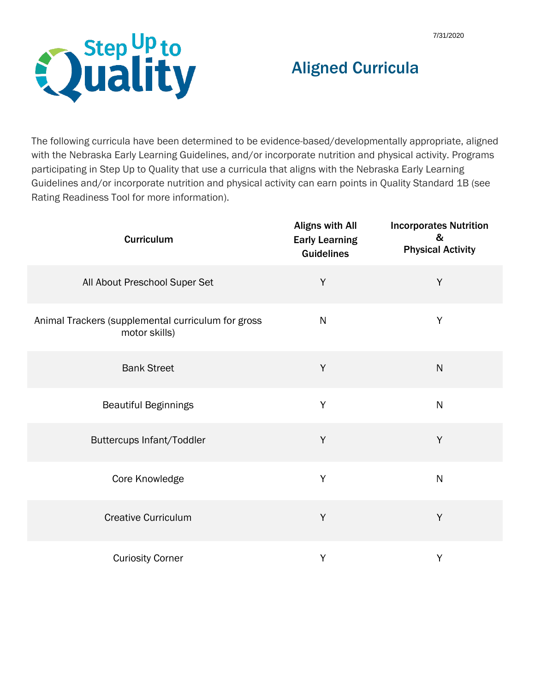

## Aligned Curricula

The following curricula have been determined to be evidence-based/developmentally appropriate, aligned with the Nebraska Early Learning Guidelines, and/or incorporate nutrition and physical activity. Programs participating in Step Up to Quality that use a curricula that aligns with the Nebraska Early Learning Guidelines and/or incorporate nutrition and physical activity can earn points in Quality Standard 1B (see Rating Readiness Tool for more information).

| <b>Curriculum</b>                                                   | <b>Aligns with All</b><br><b>Early Learning</b><br><b>Guidelines</b> | <b>Incorporates Nutrition</b><br>&<br><b>Physical Activity</b> |
|---------------------------------------------------------------------|----------------------------------------------------------------------|----------------------------------------------------------------|
| All About Preschool Super Set                                       | Y                                                                    | Y                                                              |
| Animal Trackers (supplemental curriculum for gross<br>motor skills) | $\mathsf{N}$                                                         | $\mathsf Y$                                                    |
| <b>Bank Street</b>                                                  | $\sf Y$                                                              | $\mathsf{N}$                                                   |
| <b>Beautiful Beginnings</b>                                         | $\sf Y$                                                              | $\mathsf{N}$                                                   |
| Buttercups Infant/Toddler                                           | Y                                                                    | Y                                                              |
| Core Knowledge                                                      | Y                                                                    | ${\sf N}$                                                      |
| <b>Creative Curriculum</b>                                          | Y                                                                    | Y                                                              |
| <b>Curiosity Corner</b>                                             | Y                                                                    | $\mathsf Y$                                                    |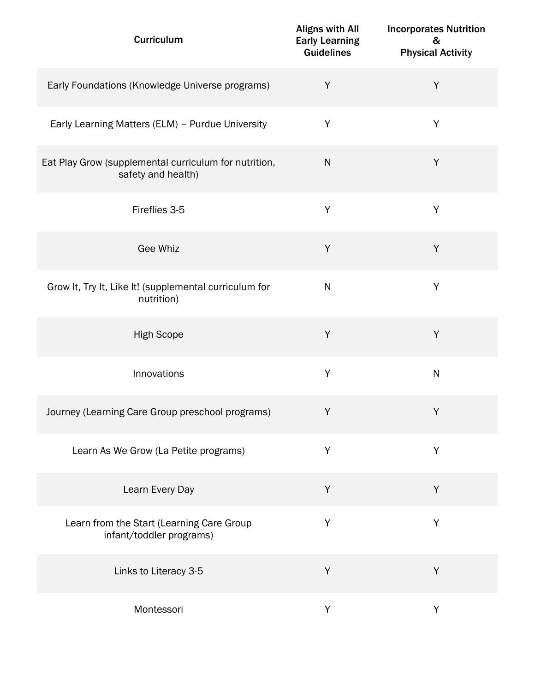| Curriculum                                                                  | <b>Aligns with All</b><br><b>Early Learning</b><br><b>Guidelines</b> | <b>Incorporates Nutrition</b><br>&<br><b>Physical Activity</b> |
|-----------------------------------------------------------------------------|----------------------------------------------------------------------|----------------------------------------------------------------|
| Early Foundations (Knowledge Universe programs)                             | Y                                                                    | $\sf Y$                                                        |
| Early Learning Matters (ELM) - Purdue University                            | Y                                                                    | Y                                                              |
| Eat Play Grow (supplemental curriculum for nutrition,<br>safety and health) | ${\sf N}$                                                            | Υ                                                              |
| Fireflies 3-5                                                               | Y                                                                    | Y                                                              |
| Gee Whiz                                                                    | Y                                                                    | Y                                                              |
| Grow It, Try It, Like It! (supplemental curriculum for<br>nutrition)        | ${\sf N}$                                                            | Υ                                                              |
| <b>High Scope</b>                                                           | Y                                                                    | Y                                                              |
| Innovations                                                                 | Y                                                                    | ${\sf N}$                                                      |
| Journey (Learning Care Group preschool programs)                            | Y                                                                    | Y                                                              |
| Learn As We Grow (La Petite programs)                                       | Y                                                                    | Y                                                              |
| Learn Every Day                                                             | Y                                                                    | Y                                                              |
| Learn from the Start (Learning Care Group<br>infant/toddler programs)       | Y                                                                    | Υ                                                              |
| Links to Literacy 3-5                                                       | Y                                                                    | Y                                                              |
| Montessori                                                                  | Y                                                                    | Y                                                              |